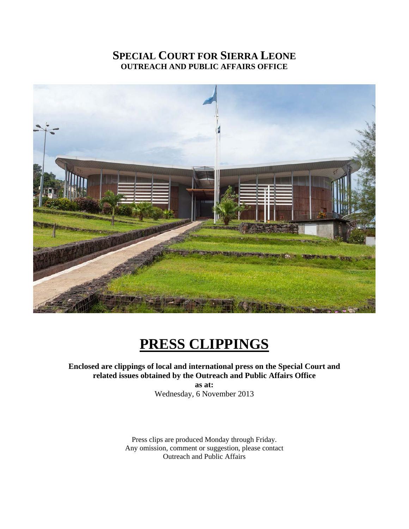## **SPECIAL COURT FOR SIERRA LEONE OUTREACH AND PUBLIC AFFAIRS OFFICE**



# **PRESS CLIPPINGS**

#### **Enclosed are clippings of local and international press on the Special Court and related issues obtained by the Outreach and Public Affairs Office**

**as at:**  Wednesday, 6 November 2013

Press clips are produced Monday through Friday. Any omission, comment or suggestion, please contact Outreach and Public Affairs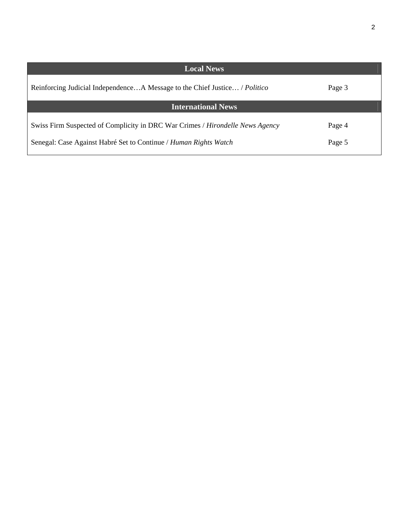| <b>Local News</b>                                                                                                                                 |                  |
|---------------------------------------------------------------------------------------------------------------------------------------------------|------------------|
| Reinforcing Judicial IndependenceA Message to the Chief Justice / Politico                                                                        | Page 3           |
| <b>International News</b>                                                                                                                         |                  |
| Swiss Firm Suspected of Complicity in DRC War Crimes / Hirondelle News Agency<br>Senegal: Case Against Habré Set to Continue / Human Rights Watch | Page 4<br>Page 5 |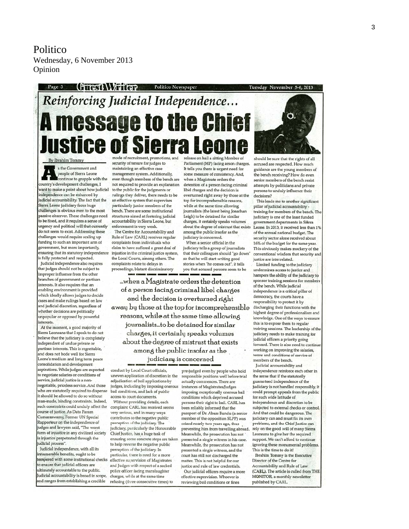Politico Wednesday, 6 November 2013 Opinion

# (PTTPST) VITTED Politico Newspaper Reinforcing Judicial Independence... **A message to the Chief lustice of Sierra L** mode of recruitment, promotions, and release on bail a sitting Member of

By Ibrahim Tommy s the Government and people of Sierra Leone continue to grapple with the country's development challenges, I want to make a point about how judicial independence can be enhanced by judicial accountability. The fact that the Sierra Leone judiciary faces huge challenges is obvious even to the most passive observer. These challenges need to be fixed, and it requires a sense of urgency and political will that currently do not seem to exist. Addressing these challenges would require scaling up funding to such an important arm of government, but more importantly, ensuring that its statutory independence is fully protected and respected. Judicial independence also requires that judges should not be subject to improper influence from the other branches of government or partisan interests. It also requires that an enabling environment is provided which ideally allows judges to decide cases and make rulings based on law and judicial discretion, regardless of whether decisions are politically unpopular or opposed by powerful interests.

At the moment, a good majority of Sierra Leoneans that I speak to do not believe that the judiciary is completely independent of undue private or partisan interests. This is regrettable, and does not bode well for Sierra Leone's medium and long term peace consolidation and development aspirations. While judges are expected to negotiate salaries or conditions of service, judicial justice is a nonnegotiable, priceless service. And those who are statutorily required to dispense it should be allowed to do so without man-made, binding constraints. Indeed, such constraints could unduly affect the course of justice. As Dato Param Cumaraswamy, Former UN Special Rapporteur on the independence of judges and lawyers said. "The worst form of injustice in any civilized society is injustice perpetrated through the judicial process".

Judicial independence, with all its innumerable benefits, ought to be tempered with some institutional checks to ensure that judicial officers are ultimately accountable to the public. Judicial accountability is broad in scope, and ranges from establishing a credible

security of tenure for judges to maintaining an effective case management system. Additionally, even though members of the bench are not required to provide an explanation to the public for the judgments or rulings they deliver, there needs to be an effective system that supervises particularly junior members of the bench. There are some institutional structures aimed at fostering judicial accountability in Sierra Leone, but enforcement is very weak.

The Centre for Accountability and Rule of Law (CARL) receives regular complaints from individuals who claim to have suffered a great deal of injustice in the criminal justice system, the Local Courts, among others. The complaints relate to delays in proceedings, blatant discriminatory

Parliament (MP) facing arson charges. It tells you there is urgent need for some measure of consistency. And, when a Magistrate orders the detention of a person facing criminal libel charges and the decision is overturned right away by those at the top for incomprehensible reasons, while at the same time allowing journalists (the latest being Jonathan Leigh) to be detained for similar charges, it certainly speaks volumes about the degree of mistrust that exists among the public insofar as the judiciary is concerned.

When a senior official in the judiciary tells a group of journalists that their colleagues should "go down" so that he will start writing good stories when "he comes out", it tells you that accused persons seem to be

when a Magistrate orders the detention... of a person facing criminal libel charges and the decision is overturned right away by those at the top for incomprehensible reasons, while at the same time allowing journalists...to be detained for similar charges, it certainly speaks volumes about the degree of mistrust that exists among the public insofar as the judiciary is concerned

conduct by Local Court officials, uneven application of discretion in the adjudication of bail applications by judges, including by imposing onerous bail conditions, and lack of public ccess to court documents.

Without providing details, each complaint CARL has received seems very serious, and in many ways contributes to the negative public reption of the judiciary. The judiciary, particularly the Honourable Chief Justice, has a huge task of ensuring some concrete steps are taken to help reverse the negative public perception of the judiciary. In particular, there is need for a more effective supervision of Magistrates and Judges with respect of a sacked police officer facing manslaughter charges, while at the same time refusing (three consecutive times) to

pre-judged even by people who hold responsible positions well before trial actually commences. There are instances of Magistrates/Judges imposing exceptionally onerous bail conditions which deprived accused persons their right to bail. CARL has been reliably informed that the passport of Dr. Abass Bundu (a senior member of the opposition SLPP) was seized nearly two years ago, thus preventing him from travelling abroad. .<br>Meanwhile, the prosecution has not presented a single witness in his case. Meanwhile, the prosecution has not presented a single witness, and the court has still not discharged the matter. This is not helpful for our justice and rule of law credentials

Our judicial officers require a more effective supervision. Whoever is reviewing bail conditions or fines

should be sure that the rights of all accused are respected. How much guidance are the young members of the bench receiving? How do even senior members of the bench resist attempts by politicians and private persons to unduly influence their  $decisions?$ 

This leads me to another significant pillar of judicial accountability training for members of the bench. The judiciary is one of the least funded government departments in Siêrra Leone. In 2013, it received less than 1% of the annual national budget. The security sector alone received about 16% of the budget for the same year. This obviously makes mockery of the conventional wisdom that security and justice are interrelated. Limited funding to the judiciary undermines access to justice and hampers the ability of the judiciary to sponsor training sessions for member of the bench. While judicial independence is a critical pillar of democracy, the courts have a responsibility to protect it by discharging their functions with the highest degree of professionalism and knowledge. One of the ways to ensure this is to expose them to regular training sessions. The leadership of the judiciary needs to make training for judicial officers a priority going forward. There is also need to contin working on improving the salaries, terms and conditions of service of members of the bench.

Judicial accountability and independence reinforce each other in the sense that if the statutorily guaranteed independence of the judiciary is not handled responsibly, it could prompt appeals from the public for such wide latitude of independence and discretion to be subjected to external checks or control And that could be dangerous. The judiciary can and must fix its own problems, and the Chief Justice can rely on the good will of many Sierra Leoneans to give her the required support. We can't afford to continue ignoring these monumental problems This is the time to do it!

**Ibrahim Tommy is the Executive** Director of the Centre for Accountability and Rule of Law (CARL). The article is culled from THE MONITOR, a monthly newsletter published by CARL.

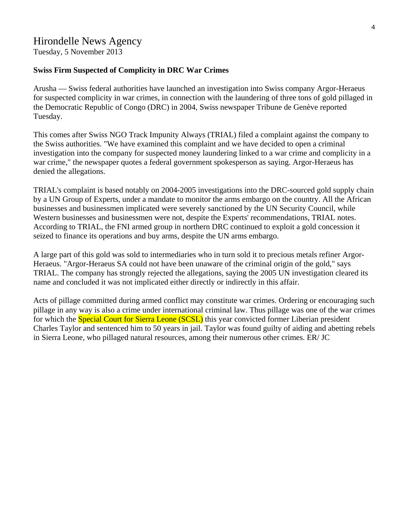### Hirondelle News Agency

Tuesday, 5 November 2013

#### **Swiss Firm Suspected of Complicity in DRC War Crimes**

Arusha — Swiss federal authorities have launched an investigation into Swiss company Argor-Heraeus for suspected complicity in war crimes, in connection with the laundering of three tons of gold pillaged in the Democratic Republic of Congo (DRC) in 2004, Swiss newspaper Tribune de Genève reported Tuesday.

This comes after Swiss NGO Track Impunity Always (TRIAL) filed a complaint against the company to the Swiss authorities. "We have examined this complaint and we have decided to open a criminal investigation into the company for suspected money laundering linked to a war crime and complicity in a war crime," the newspaper quotes a federal government spokesperson as saying. Argor-Heraeus has denied the allegations.

TRIAL's complaint is based notably on 2004-2005 investigations into the DRC-sourced gold supply chain by a UN Group of Experts, under a mandate to monitor the arms embargo on the country. All the African businesses and businessmen implicated were severely sanctioned by the UN Security Council, while Western businesses and businessmen were not, despite the Experts' recommendations, TRIAL notes. According to TRIAL, the FNI armed group in northern DRC continued to exploit a gold concession it seized to finance its operations and buy arms, despite the UN arms embargo.

A large part of this gold was sold to intermediaries who in turn sold it to precious metals refiner Argor-Heraeus. "Argor-Heraeus SA could not have been unaware of the criminal origin of the gold," says TRIAL. The company has strongly rejected the allegations, saying the 2005 UN investigation cleared its name and concluded it was not implicated either directly or indirectly in this affair.

Acts of pillage committed during armed conflict may constitute war crimes. Ordering or encouraging such pillage in any way is also a crime under international criminal law. Thus pillage was one of the war crimes for which the **Special Court for Sierra Leone (SCSL)** this year convicted former Liberian president Charles Taylor and sentenced him to 50 years in jail. Taylor was found guilty of aiding and abetting rebels in Sierra Leone, who pillaged natural resources, among their numerous other crimes. ER/ JC